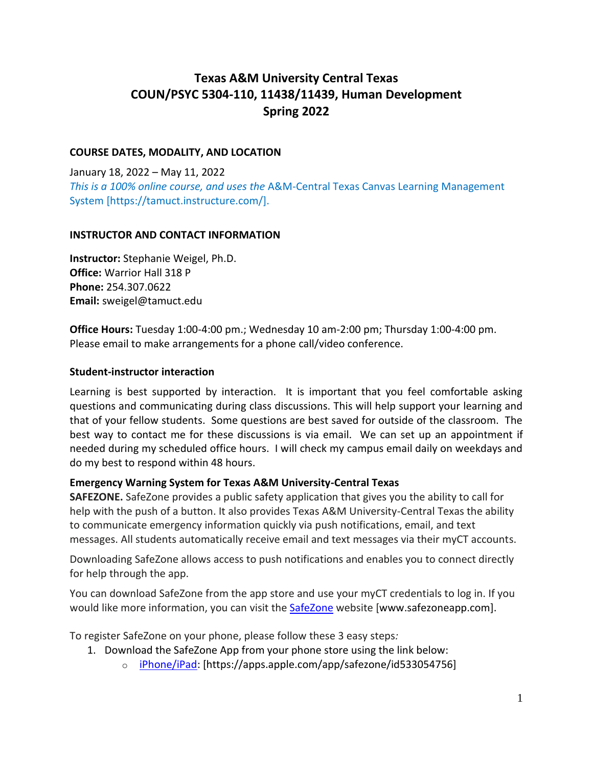# **Texas A&M University Central Texas COUN/PSYC 5304-110, 11438/11439, Human Development Spring 2022**

# **COURSE DATES, MODALITY, AND LOCATION**

January 18, 2022 – May 11, 2022 *This is a 100% online course, and uses the* A&M-Central Texas Canvas Learning Management System [https://tamuct.instructure.com/].

### **INSTRUCTOR AND CONTACT INFORMATION**

**Instructor:** Stephanie Weigel, Ph.D. **Office:** Warrior Hall 318 P **Phone:** 254.307.0622 **Email:** sweigel@tamuct.edu

**Office Hours:** Tuesday 1:00-4:00 pm.; Wednesday 10 am-2:00 pm; Thursday 1:00-4:00 pm. Please email to make arrangements for a phone call/video conference.

### **Student-instructor interaction**

Learning is best supported by interaction. It is important that you feel comfortable asking questions and communicating during class discussions. This will help support your learning and that of your fellow students. Some questions are best saved for outside of the classroom. The best way to contact me for these discussions is via email. We can set up an appointment if needed during my scheduled office hours. I will check my campus email daily on weekdays and do my best to respond within 48 hours.

### **Emergency Warning System for Texas A&M University-Central Texas**

**SAFEZONE.** SafeZone provides a public safety application that gives you the ability to call for help with the push of a button. It also provides Texas A&M University-Central Texas the ability to communicate emergency information quickly via push notifications, email, and text messages. All students automatically receive email and text messages via their myCT accounts.

Downloading SafeZone allows access to push notifications and enables you to connect directly for help through the app.

You can download SafeZone from the app store and use your myCT credentials to log in. If you would like more information, you can visit the **[SafeZone](http://www.safezoneapp.com/)** website [www.safezoneapp.com].

To register SafeZone on your phone, please follow these 3 easy steps*:*

- 1. Download the SafeZone App from your phone store using the link below:
	- o [iPhone/iPad:](https://apps.apple.com/app/safezone/id533054756) [https://apps.apple.com/app/safezone/id533054756]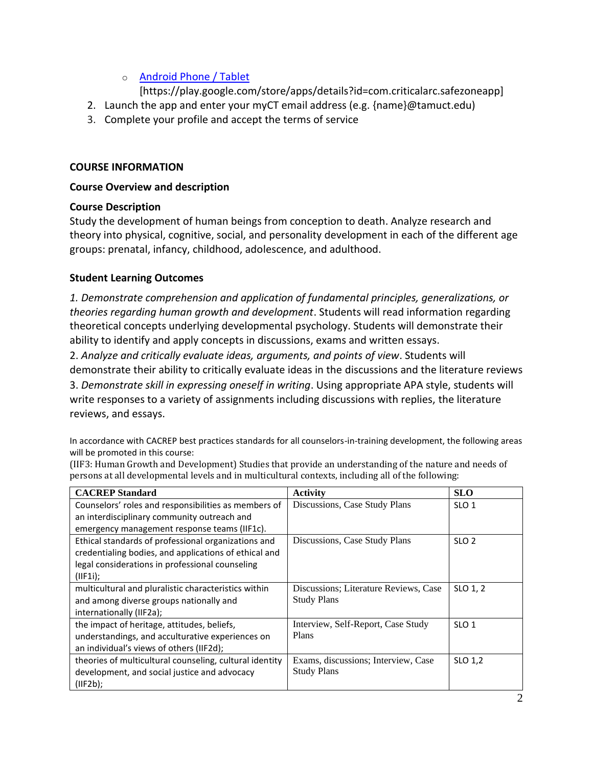# o [Android Phone / Tablet](https://play.google.com/store/apps/details?id=com.criticalarc.safezoneapp)

[https://play.google.com/store/apps/details?id=com.criticalarc.safezoneapp]

- 2. Launch the app and enter your myCT email address (e.g. {name}@tamuct.edu)
- 3. Complete your profile and accept the terms of service

# **COURSE INFORMATION**

# **Course Overview and description**

# **Course Description**

Study the development of human beings from conception to death. Analyze research and theory into physical, cognitive, social, and personality development in each of the different age groups: prenatal, infancy, childhood, adolescence, and adulthood.

# **Student Learning Outcomes**

*1. Demonstrate comprehension and application of fundamental principles, generalizations, or theories regarding human growth and development*. Students will read information regarding theoretical concepts underlying developmental psychology. Students will demonstrate their ability to identify and apply concepts in discussions, exams and written essays.

2. *Analyze and critically evaluate ideas, arguments, and points of view*. Students will demonstrate their ability to critically evaluate ideas in the discussions and the literature reviews 3. *Demonstrate skill in expressing oneself in writing*. Using appropriate APA style, students will write responses to a variety of assignments including discussions with replies, the literature reviews, and essays.

In accordance with CACREP best practices standards for all counselors-in-training development, the following areas will be promoted in this course:

| <b>CACREP</b> Standard                                  | Activity                              | <b>SLO</b>       |
|---------------------------------------------------------|---------------------------------------|------------------|
| Counselors' roles and responsibilities as members of    | Discussions, Case Study Plans         | SLO <sub>1</sub> |
| an interdisciplinary community outreach and             |                                       |                  |
| emergency management response teams (IIF1c).            |                                       |                  |
| Ethical standards of professional organizations and     | Discussions, Case Study Plans         | SLO <sub>2</sub> |
| credentialing bodies, and applications of ethical and   |                                       |                  |
| legal considerations in professional counseling         |                                       |                  |
| (IIF1i);                                                |                                       |                  |
| multicultural and pluralistic characteristics within    | Discussions; Literature Reviews, Case | SLO 1, 2         |
| and among diverse groups nationally and                 | <b>Study Plans</b>                    |                  |
| internationally (IIF2a);                                |                                       |                  |
| the impact of heritage, attitudes, beliefs,             | Interview, Self-Report, Case Study    | SLO <sub>1</sub> |
| understandings, and acculturative experiences on        | Plans                                 |                  |
| an individual's views of others (IIF2d);                |                                       |                  |
| theories of multicultural counseling, cultural identity | Exams, discussions; Interview, Case   | SLO 1,2          |
| development, and social justice and advocacy            | <b>Study Plans</b>                    |                  |
| (IIF2b);                                                |                                       |                  |
|                                                         |                                       |                  |

(IIF3: Human Growth and Development) Studies that provide an understanding of the nature and needs of persons at all developmental levels and in multicultural contexts, including all of the following: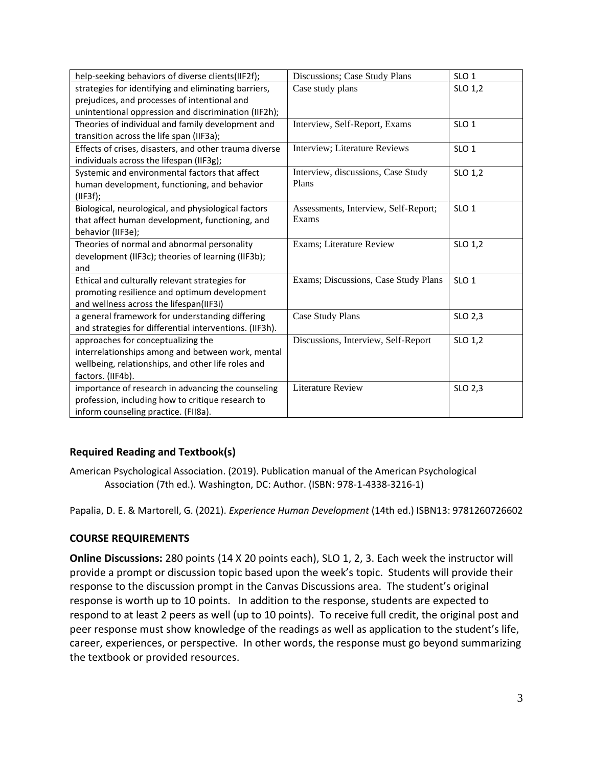| help-seeking behaviors of diverse clients(IIF2f);       | Discussions; Case Study Plans        | SLO <sub>1</sub> |
|---------------------------------------------------------|--------------------------------------|------------------|
| strategies for identifying and eliminating barriers,    | Case study plans                     | SLO 1,2          |
| prejudices, and processes of intentional and            |                                      |                  |
| unintentional oppression and discrimination (IIF2h);    |                                      |                  |
| Theories of individual and family development and       | Interview, Self-Report, Exams        | SLO <sub>1</sub> |
| transition across the life span (IIF3a);                |                                      |                  |
| Effects of crises, disasters, and other trauma diverse  | Interview; Literature Reviews        | SLO <sub>1</sub> |
| individuals across the lifespan (IIF3g);                |                                      |                  |
| Systemic and environmental factors that affect          | Interview, discussions, Case Study   | SLO 1,2          |
| human development, functioning, and behavior            | Plans                                |                  |
| (IIF3f);                                                |                                      |                  |
| Biological, neurological, and physiological factors     | Assessments, Interview, Self-Report; | SLO <sub>1</sub> |
| that affect human development, functioning, and         | Exams                                |                  |
| behavior (IIF3e);                                       |                                      |                  |
| Theories of normal and abnormal personality             | Exams; Literature Review             | SLO 1,2          |
| development (IIF3c); theories of learning (IIF3b);      |                                      |                  |
| and                                                     |                                      |                  |
| Ethical and culturally relevant strategies for          | Exams; Discussions, Case Study Plans | SLO <sub>1</sub> |
| promoting resilience and optimum development            |                                      |                  |
| and wellness across the lifespan(IIF3i)                 |                                      |                  |
| a general framework for understanding differing         | Case Study Plans                     | SLO 2,3          |
| and strategies for differential interventions. (IIF3h). |                                      |                  |
| approaches for conceptualizing the                      | Discussions, Interview, Self-Report  | SLO 1,2          |
| interrelationships among and between work, mental       |                                      |                  |
| wellbeing, relationships, and other life roles and      |                                      |                  |
| factors. (IIF4b).                                       |                                      |                  |
| importance of research in advancing the counseling      | <b>Literature Review</b>             | SLO 2,3          |
| profession, including how to critique research to       |                                      |                  |
| inform counseling practice. (FII8a).                    |                                      |                  |

# **Required Reading and Textbook(s)**

American Psychological Association. (2019). Publication manual of the American Psychological Association (7th ed.). Washington, DC: Author. (ISBN: 978-1-4338-3216-1)

Papalia, D. E. & Martorell, G. (2021). *Experience Human Development* (14th ed.) ISBN13: 9781260726602

# **COURSE REQUIREMENTS**

**Online Discussions:** 280 points (14 X 20 points each), SLO 1, 2, 3. Each week the instructor will provide a prompt or discussion topic based upon the week's topic. Students will provide their response to the discussion prompt in the Canvas Discussions area. The student's original response is worth up to 10 points. In addition to the response, students are expected to respond to at least 2 peers as well (up to 10 points). To receive full credit, the original post and peer response must show knowledge of the readings as well as application to the student's life, career, experiences, or perspective. In other words, the response must go beyond summarizing the textbook or provided resources.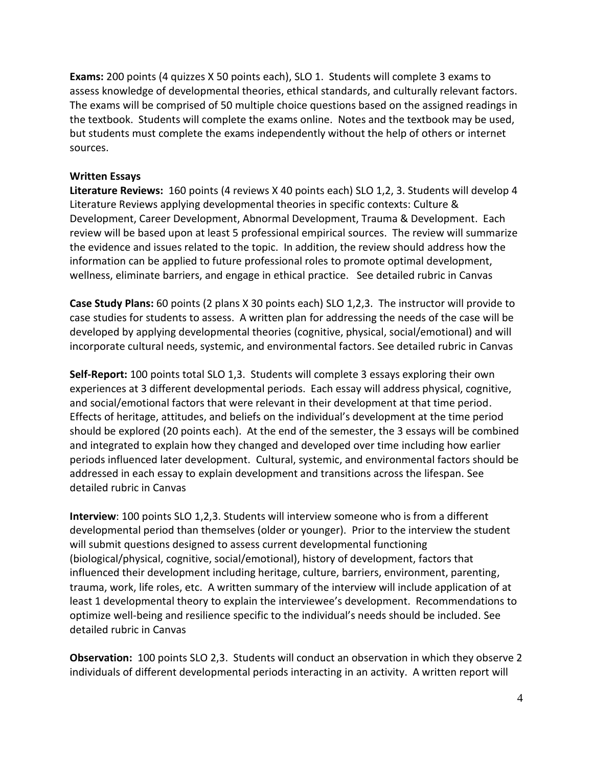**Exams:** 200 points (4 quizzes X 50 points each), SLO 1. Students will complete 3 exams to assess knowledge of developmental theories, ethical standards, and culturally relevant factors. The exams will be comprised of 50 multiple choice questions based on the assigned readings in the textbook. Students will complete the exams online. Notes and the textbook may be used, but students must complete the exams independently without the help of others or internet sources.

## **Written Essays**

**Literature Reviews:** 160 points (4 reviews X 40 points each) SLO 1,2, 3. Students will develop 4 Literature Reviews applying developmental theories in specific contexts: Culture & Development, Career Development, Abnormal Development, Trauma & Development. Each review will be based upon at least 5 professional empirical sources. The review will summarize the evidence and issues related to the topic. In addition, the review should address how the information can be applied to future professional roles to promote optimal development, wellness, eliminate barriers, and engage in ethical practice. See detailed rubric in Canvas

**Case Study Plans:** 60 points (2 plans X 30 points each) SLO 1,2,3. The instructor will provide to case studies for students to assess. A written plan for addressing the needs of the case will be developed by applying developmental theories (cognitive, physical, social/emotional) and will incorporate cultural needs, systemic, and environmental factors. See detailed rubric in Canvas

**Self-Report:** 100 points total SLO 1,3. Students will complete 3 essays exploring their own experiences at 3 different developmental periods. Each essay will address physical, cognitive, and social/emotional factors that were relevant in their development at that time period. Effects of heritage, attitudes, and beliefs on the individual's development at the time period should be explored (20 points each). At the end of the semester, the 3 essays will be combined and integrated to explain how they changed and developed over time including how earlier periods influenced later development. Cultural, systemic, and environmental factors should be addressed in each essay to explain development and transitions across the lifespan. See detailed rubric in Canvas

**Interview**: 100 points SLO 1,2,3. Students will interview someone who is from a different developmental period than themselves (older or younger). Prior to the interview the student will submit questions designed to assess current developmental functioning (biological/physical, cognitive, social/emotional), history of development, factors that influenced their development including heritage, culture, barriers, environment, parenting, trauma, work, life roles, etc. A written summary of the interview will include application of at least 1 developmental theory to explain the interviewee's development. Recommendations to optimize well-being and resilience specific to the individual's needs should be included. See detailed rubric in Canvas

**Observation:** 100 points SLO 2,3. Students will conduct an observation in which they observe 2 individuals of different developmental periods interacting in an activity. A written report will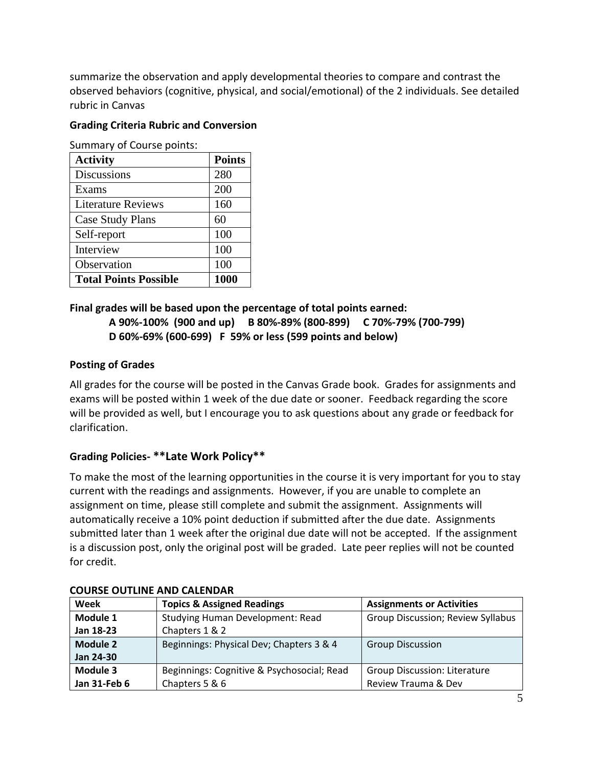summarize the observation and apply developmental theories to compare and contrast the observed behaviors (cognitive, physical, and social/emotional) of the 2 individuals. See detailed rubric in Canvas

# **Grading Criteria Rubric and Conversion**

Summary of Course points:

| <b>Activity</b>              | <b>Points</b> |
|------------------------------|---------------|
| <b>Discussions</b>           | 280           |
| Exams                        | 200           |
| <b>Literature Reviews</b>    | 160           |
| Case Study Plans             | 60            |
| Self-report                  | 100           |
| Interview                    | 100           |
| Observation                  | 100           |
| <b>Total Points Possible</b> | 1000          |

# **Final grades will be based upon the percentage of total points earned:**

### **A 90%-100% (900 and up) B 80%-89% (800-899) C 70%-79% (700-799) D 60%-69% (600-699) F 59% or less (599 points and below)**

# **Posting of Grades**

All grades for the course will be posted in the Canvas Grade book. Grades for assignments and exams will be posted within 1 week of the due date or sooner. Feedback regarding the score will be provided as well, but I encourage you to ask questions about any grade or feedback for clarification.

# **Grading Policies- \*\*Late Work Policy\*\***

To make the most of the learning opportunities in the course it is very important for you to stay current with the readings and assignments. However, if you are unable to complete an assignment on time, please still complete and submit the assignment. Assignments will automatically receive a 10% point deduction if submitted after the due date. Assignments submitted later than 1 week after the original due date will not be accepted. If the assignment is a discussion post, only the original post will be graded. Late peer replies will not be counted for credit.

| Week         | <b>Topics &amp; Assigned Readings</b>      | <b>Assignments or Activities</b>    |  |
|--------------|--------------------------------------------|-------------------------------------|--|
| Module 1     | <b>Studying Human Development: Read</b>    | Group Discussion; Review Syllabus   |  |
| Jan 18-23    | Chapters 1 & 2                             |                                     |  |
| Module 2     | Beginnings: Physical Dev; Chapters 3 & 4   | <b>Group Discussion</b>             |  |
| Jan 24-30    |                                            |                                     |  |
| Module 3     | Beginnings: Cognitive & Psychosocial; Read | <b>Group Discussion: Literature</b> |  |
| Jan 31-Feb 6 | Chapters 5 & 6                             | Review Trauma & Dev                 |  |

# **COURSE OUTLINE AND CALENDAR**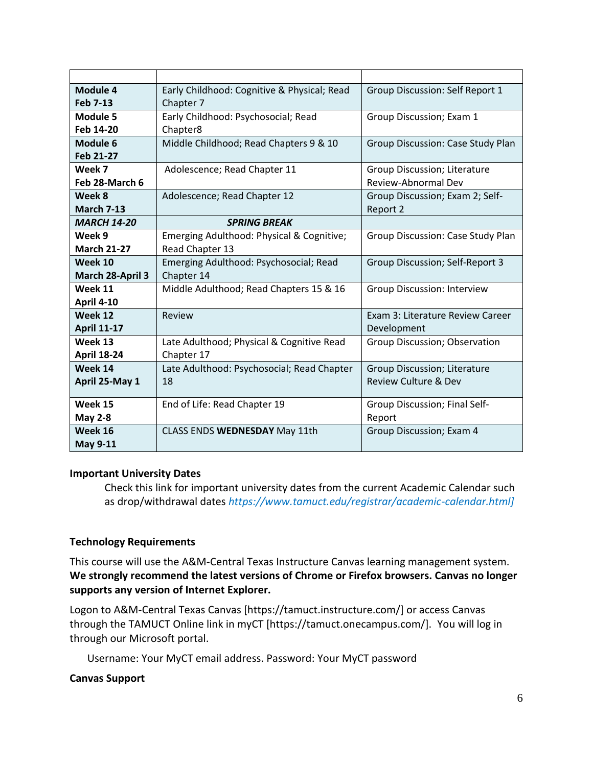| Module 4           | Early Childhood: Cognitive & Physical; Read | Group Discussion: Self Report 1    |
|--------------------|---------------------------------------------|------------------------------------|
| <b>Feb 7-13</b>    | Chapter 7                                   |                                    |
| Module 5           | Early Childhood: Psychosocial; Read         | Group Discussion; Exam 1           |
| Feb 14-20          | Chapter8                                    |                                    |
| Module 6           | Middle Childhood; Read Chapters 9 & 10      | Group Discussion: Case Study Plan  |
| Feb 21-27          |                                             |                                    |
| Week 7             | Adolescence; Read Chapter 11                | Group Discussion; Literature       |
| Feb 28-March 6     |                                             | Review-Abnormal Dev                |
| Week 8             | Adolescence; Read Chapter 12                | Group Discussion; Exam 2; Self-    |
| <b>March 7-13</b>  |                                             | Report 2                           |
| <b>MARCH 14-20</b> | <b>SPRING BREAK</b>                         |                                    |
| Week 9             | Emerging Adulthood: Physical & Cognitive;   | Group Discussion: Case Study Plan  |
| <b>March 21-27</b> | Read Chapter 13                             |                                    |
| Week 10            | Emerging Adulthood: Psychosocial; Read      | Group Discussion; Self-Report 3    |
| March 28-April 3   | Chapter 14                                  |                                    |
| Week 11            | Middle Adulthood; Read Chapters 15 & 16     | <b>Group Discussion: Interview</b> |
| <b>April 4-10</b>  |                                             |                                    |
| Week 12            | Review                                      | Exam 3: Literature Review Career   |
| <b>April 11-17</b> |                                             | Development                        |
| Week 13            | Late Adulthood; Physical & Cognitive Read   | Group Discussion; Observation      |
| <b>April 18-24</b> | Chapter 17                                  |                                    |
| Week 14            | Late Adulthood: Psychosocial; Read Chapter  | Group Discussion; Literature       |
| April 25-May 1     | 18                                          | Review Culture & Dev               |
|                    |                                             |                                    |
| Week 15            | End of Life: Read Chapter 19                | Group Discussion; Final Self-      |
| <b>May 2-8</b>     |                                             | Report                             |
| Week 16            | CLASS ENDS WEDNESDAY May 11th               | Group Discussion; Exam 4           |
| <b>May 9-11</b>    |                                             |                                    |

# **Important University Dates**

Check this link for important university dates from the current Academic Calendar such as drop/withdrawal dates *https://www.tamuct.edu/registrar/academic-calendar.html]*

# **Technology Requirements**

This course will use the A&M-Central Texas Instructure Canvas learning management system. **We strongly recommend the latest versions of Chrome or Firefox browsers. Canvas no longer supports any version of Internet Explorer.**

Logon to A&M-Central Texas Canvas [https://tamuct.instructure.com/] or access Canvas through the TAMUCT Online link in myCT [https://tamuct.onecampus.com/]. You will log in through our Microsoft portal.

Username: Your MyCT email address. Password: Your MyCT password

### **Canvas Support**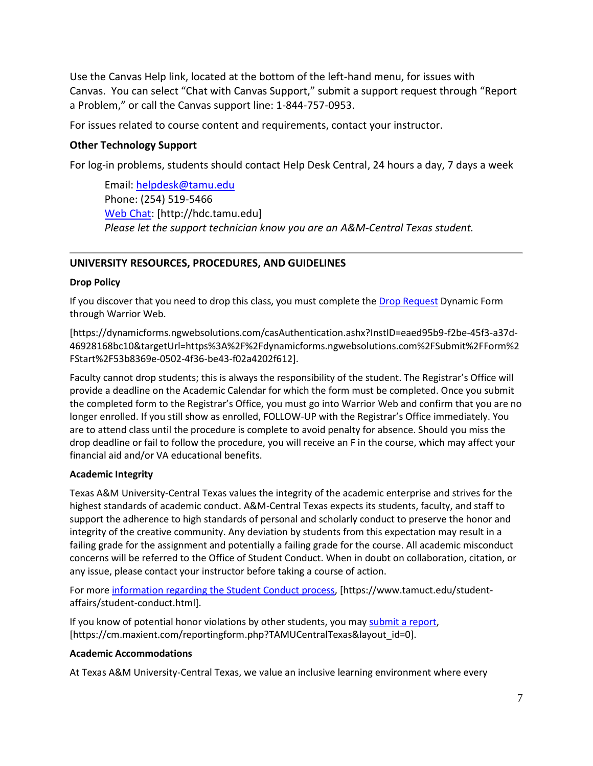Use the Canvas Help link, located at the bottom of the left-hand menu, for issues with Canvas. You can select "Chat with Canvas Support," submit a support request through "Report a Problem," or call the Canvas support line: 1-844-757-0953.

For issues related to course content and requirements, contact your instructor.

#### **Other Technology Support**

For log-in problems, students should contact Help Desk Central, 24 hours a day, 7 days a week

Email: [helpdesk@tamu.edu](mailto:helpdesk@tamu.edu) Phone: (254) 519-5466 [Web Chat:](http://hdc.tamu.edu/) [http://hdc.tamu.edu] *Please let the support technician know you are an A&M-Central Texas student.*

#### **UNIVERSITY RESOURCES, PROCEDURES, AND GUIDELINES**

#### **Drop Policy**

If you discover that you need to drop this class, you must complete the [Drop Request](https://dynamicforms.ngwebsolutions.com/casAuthentication.ashx?InstID=eaed95b9-f2be-45f3-a37d-46928168bc10&targetUrl=https%3A%2F%2Fdynamicforms.ngwebsolutions.com%2FSubmit%2FForm%2FStart%2F53b8369e-0502-4f36-be43-f02a4202f612) Dynamic Form through Warrior Web.

[https://dynamicforms.ngwebsolutions.com/casAuthentication.ashx?InstID=eaed95b9-f2be-45f3-a37d-46928168bc10&targetUrl=https%3A%2F%2Fdynamicforms.ngwebsolutions.com%2FSubmit%2FForm%2 FStart%2F53b8369e-0502-4f36-be43-f02a4202f612].

Faculty cannot drop students; this is always the responsibility of the student. The Registrar's Office will provide a deadline on the Academic Calendar for which the form must be completed. Once you submit the completed form to the Registrar's Office, you must go into Warrior Web and confirm that you are no longer enrolled. If you still show as enrolled, FOLLOW-UP with the Registrar's Office immediately. You are to attend class until the procedure is complete to avoid penalty for absence. Should you miss the drop deadline or fail to follow the procedure, you will receive an F in the course, which may affect your financial aid and/or VA educational benefits.

#### **Academic Integrity**

Texas A&M University-Central Texas values the integrity of the academic enterprise and strives for the highest standards of academic conduct. A&M-Central Texas expects its students, faculty, and staff to support the adherence to high standards of personal and scholarly conduct to preserve the honor and integrity of the creative community. Any deviation by students from this expectation may result in a failing grade for the assignment and potentially a failing grade for the course. All academic misconduct concerns will be referred to the Office of Student Conduct. When in doubt on collaboration, citation, or any issue, please contact your instructor before taking a course of action.

For more [information](https://nam04.safelinks.protection.outlook.com/?url=https%3A%2F%2Fwww.tamuct.edu%2Fstudent-affairs%2Fstudent-conduct.html&data=04%7C01%7Clisa.bunkowski%40tamuct.edu%7Ccfb6e486f24745f53e1a08d910055cb2%7C9eed4e3000f744849ff193ad8005acec%7C0%7C0%7C637558437485252160%7CUnknown%7CTWFpbGZsb3d8eyJWIjoiMC4wLjAwMDAiLCJQIjoiV2luMzIiLCJBTiI6Ik1haWwiLCJXVCI6Mn0%3D%7C1000&sdata=yjftDEVHvLX%2FhM%2FcFU0B99krV1RgEWR%2BJ%2BhvtoR6TYk%3D&reserved=0) regarding the Student Conduct process, [https://www.tamuct.edu/studentaffairs/student-conduct.html].

If you know of potential honor violations by other students, you may [submit](https://nam04.safelinks.protection.outlook.com/?url=https%3A%2F%2Fcm.maxient.com%2Freportingform.php%3FTAMUCentralTexas%26layout_id%3D0&data=04%7C01%7Clisa.bunkowski%40tamuct.edu%7Ccfb6e486f24745f53e1a08d910055cb2%7C9eed4e3000f744849ff193ad8005acec%7C0%7C0%7C637558437485262157%7CUnknown%7CTWFpbGZsb3d8eyJWIjoiMC4wLjAwMDAiLCJQIjoiV2luMzIiLCJBTiI6Ik1haWwiLCJXVCI6Mn0%3D%7C1000&sdata=CXGkOa6uPDPX1IMZ87z3aZDq2n91xfHKu4MMS43Ejjk%3D&reserved=0) a report, [https://cm.maxient.com/reportingform.php?TAMUCentralTexas&layout\_id=0].

#### **Academic Accommodations**

At Texas A&M University-Central Texas, we value an inclusive learning environment where every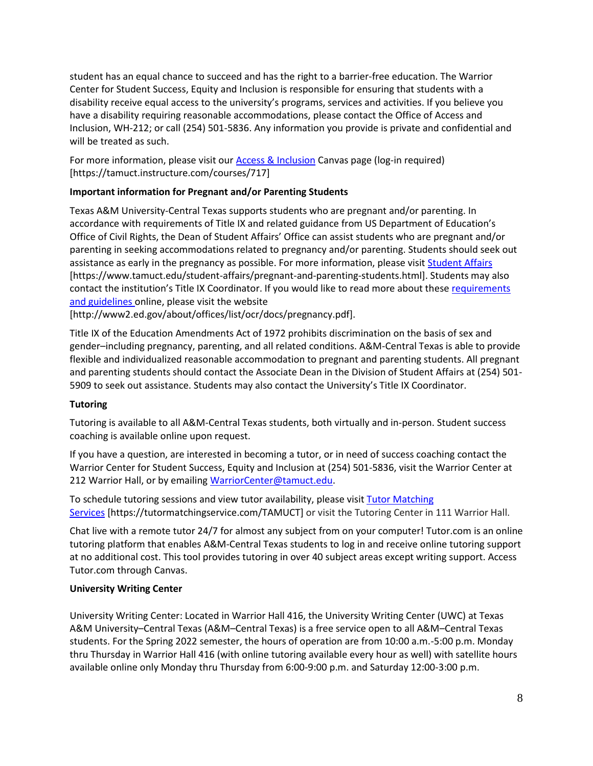student has an equal chance to succeed and has the right to a barrier-free education. The Warrior Center for Student Success, Equity and Inclusion is responsible for ensuring that students with a disability receive equal access to the university's programs, services and activities. If you believe you have a disability requiring reasonable accommodations, please contact the Office of Access and Inclusion, WH-212; or call (254) 501-5836. Any information you provide is private and confidential and will be treated as such.

For more information, please visit ou[r Access & Inclusion](https://tamuct.instructure.com/courses/717) Canvas page (log-in required) [https://tamuct.instructure.com/courses/717]

## **Important information for Pregnant and/or Parenting Students**

Texas A&M University-Central Texas supports students who are pregnant and/or parenting. In accordance with requirements of Title IX and related guidance from US Department of Education's Office of Civil Rights, the Dean of Student Affairs' Office can assist students who are pregnant and/or parenting in seeking accommodations related to pregnancy and/or parenting. Students should seek out assistance as early in the pregnancy as possible. For more information, please visi[t Student Affairs](https://www.tamuct.edu/student-affairs/pregnant-and-parenting-students.html) [https://www.tamuct.edu/student-affairs/pregnant-and-parenting-students.html]. Students may also contact the institution's Title IX Coordinator. If you would like to read more about thes[e requirements](http://www2.ed.gov/about/offices/list/ocr/docs/pregnancy.pdf)  [and guidelines](http://www2.ed.gov/about/offices/list/ocr/docs/pregnancy.pdf) online, please visit the website

[http://www2.ed.gov/about/offices/list/ocr/docs/pregnancy.pdf].

Title IX of the Education Amendments Act of 1972 prohibits discrimination on the basis of sex and gender–including pregnancy, parenting, and all related conditions. A&M-Central Texas is able to provide flexible and individualized reasonable accommodation to pregnant and parenting students. All pregnant and parenting students should contact the Associate Dean in the Division of Student Affairs at (254) 501- 5909 to seek out assistance. Students may also contact the University's Title IX Coordinator.

### **Tutoring**

Tutoring is available to all A&M-Central Texas students, both virtually and in-person. Student success coaching is available online upon request.

If you have a question, are interested in becoming a tutor, or in need of success coaching contact the Warrior Center for Student Success, Equity and Inclusion at (254) 501-5836, visit the Warrior Center at 212 Warrior Hall, or by emailing [WarriorCenter@tamuct.edu.](mailto:WarriorCenter@tamuct.edu)

To schedule tutoring sessions and view tutor availability, please visit Tutor [Matching](https://tutormatchingservice.com/TAMUCT) [Services](https://tutormatchingservice.com/TAMUCT) [https://tutormatchingservice.com/TAMUCT] or visit the Tutoring Center in 111 Warrior Hall.

Chat live with a remote tutor 24/7 for almost any subject from on your computer! Tutor.com is an online tutoring platform that enables A&M-Central Texas students to log in and receive online tutoring support at no additional cost. This tool provides tutoring in over 40 subject areas except writing support. Access Tutor.com through Canvas.

### **University Writing Center**

University Writing Center: Located in Warrior Hall 416, the University Writing Center (UWC) at Texas A&M University–Central Texas (A&M–Central Texas) is a free service open to all A&M–Central Texas students. For the Spring 2022 semester, the hours of operation are from 10:00 a.m.-5:00 p.m. Monday thru Thursday in Warrior Hall 416 (with online tutoring available every hour as well) with satellite hours available online only Monday thru Thursday from 6:00-9:00 p.m. and Saturday 12:00-3:00 p.m.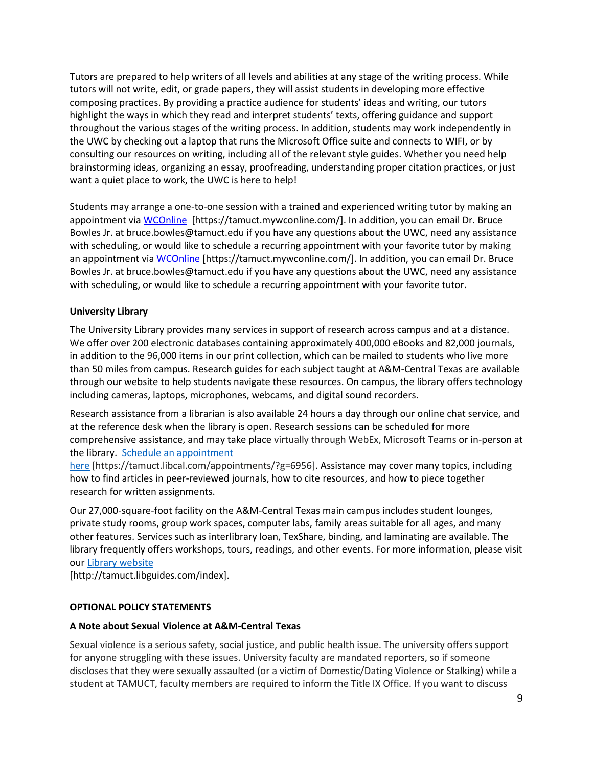Tutors are prepared to help writers of all levels and abilities at any stage of the writing process. While tutors will not write, edit, or grade papers, they will assist students in developing more effective composing practices. By providing a practice audience for students' ideas and writing, our tutors highlight the ways in which they read and interpret students' texts, offering guidance and support throughout the various stages of the writing process. In addition, students may work independently in the UWC by checking out a laptop that runs the Microsoft Office suite and connects to WIFI, or by consulting our resources on writing, including all of the relevant style guides. Whether you need help brainstorming ideas, organizing an essay, proofreading, understanding proper citation practices, or just want a quiet place to work, the UWC is here to help!

Students may arrange a one-to-one session with a trained and experienced writing tutor by making an appointment via [WCOnline](https://tamuct.mywconline.com/) [https://tamuct.mywconline.com/]. In addition, you can email Dr. Bruce Bowles Jr. at bruce.bowles@tamuct.edu if you have any questions about the UWC, need any assistance with scheduling, or would like to schedule a recurring appointment with your favorite tutor by making an appointment vi[a WCOnline](https://tamuct.mywconline.com/) [https://tamuct.mywconline.com/]. In addition, you can email Dr. Bruce Bowles Jr. at bruce.bowles@tamuct.edu if you have any questions about the UWC, need any assistance with scheduling, or would like to schedule a recurring appointment with your favorite tutor.

#### **University Library**

The University Library provides many services in support of research across campus and at a distance. We offer over 200 electronic databases containing approximately 400,000 eBooks and 82,000 journals, in addition to the 96,000 items in our print collection, which can be mailed to students who live more than 50 miles from campus. Research guides for each subject taught at A&M-Central Texas are available through our website to help students navigate these resources. On campus, the library offers technology including cameras, laptops, microphones, webcams, and digital sound recorders.

Research assistance from a librarian is also available 24 hours a day through our online chat service, and at the reference desk when the library is open. Research sessions can be scheduled for more comprehensive assistance, and may take place virtually through WebEx, Microsoft Teams or in-person at the library. Schedule an [appointment](https://nam04.safelinks.protection.outlook.com/?url=https%3A%2F%2Ftamuct.libcal.com%2Fappointments%2F%3Fg%3D6956&data=04%7C01%7Clisa.bunkowski%40tamuct.edu%7Cde2c07d9f5804f09518008d9ab7ba6ff%7C9eed4e3000f744849ff193ad8005acec%7C0%7C0%7C637729369835011558%7CUnknown%7CTWFpbGZsb3d8eyJWIjoiMC4wLjAwMDAiLCJQIjoiV2luMzIiLCJBTiI6Ik1haWwiLCJXVCI6Mn0%3D%7C3000&sdata=KhtjgRSAw9aq%2FoBsB6wyu8b7PSuGN5EGPypzr3Ty2No%3D&reserved=0)

[here](https://nam04.safelinks.protection.outlook.com/?url=https%3A%2F%2Ftamuct.libcal.com%2Fappointments%2F%3Fg%3D6956&data=04%7C01%7Clisa.bunkowski%40tamuct.edu%7Cde2c07d9f5804f09518008d9ab7ba6ff%7C9eed4e3000f744849ff193ad8005acec%7C0%7C0%7C637729369835011558%7CUnknown%7CTWFpbGZsb3d8eyJWIjoiMC4wLjAwMDAiLCJQIjoiV2luMzIiLCJBTiI6Ik1haWwiLCJXVCI6Mn0%3D%7C3000&sdata=KhtjgRSAw9aq%2FoBsB6wyu8b7PSuGN5EGPypzr3Ty2No%3D&reserved=0) [https://tamuct.libcal.com/appointments/?g=6956]. Assistance may cover many topics, including how to find articles in peer-reviewed journals, how to cite resources, and how to piece together research for written assignments.

Our 27,000-square-foot facility on the A&M-Central Texas main campus includes student lounges, private study rooms, group work spaces, computer labs, family areas suitable for all ages, and many other features. Services such as interlibrary loan, TexShare, binding, and laminating are available. The library frequently offers workshops, tours, readings, and other events. For more information, please visit our Library [website](https://nam04.safelinks.protection.outlook.com/?url=https%3A%2F%2Ftamuct.libguides.com%2Findex&data=04%7C01%7Clisa.bunkowski%40tamuct.edu%7C7d8489e8839a4915335f08d916f067f2%7C9eed4e3000f744849ff193ad8005acec%7C0%7C0%7C637566044056484222%7CUnknown%7CTWFpbGZsb3d8eyJWIjoiMC4wLjAwMDAiLCJQIjoiV2luMzIiLCJBTiI6Ik1haWwiLCJXVCI6Mn0%3D%7C1000&sdata=2R755V6rcIyedGrd4Os5rkgn1PvhHKU3kUV1vBKiHFo%3D&reserved=0)

[http://tamuct.libguides.com/index].

#### **OPTIONAL POLICY STATEMENTS**

#### **A Note about Sexual Violence at A&M-Central Texas**

Sexual violence is a serious safety, social justice, and public health issue. The university offers support for anyone struggling with these issues. University faculty are mandated reporters, so if someone discloses that they were sexually assaulted (or a victim of Domestic/Dating Violence or Stalking) while a student at TAMUCT, faculty members are required to inform the Title IX Office. If you want to discuss